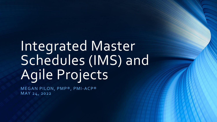# Integrated Master Schedules (IMS) and Agile Projects

MEGAN PILON, PMP®, PMI-ACP® MAY 24, 2022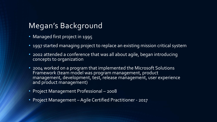# Megan's Background

- Managed first project in 1995
- 1997 started managing project to replace an existing mission critical system
- 2002 attended a conference that was all about agile, began introducing concepts to organization
- 2004 worked on a program that implemented the Microsoft Solutions Framework (team model was program management, product management, development, test, release management, user experience and product management)
- Project Management Professional 2008
- Project Management –Agile Certified Practitioner 2017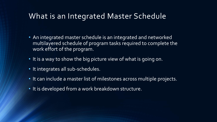#### What is an Integrated Master Schedule

- An integrated master schedule is an integrated and networked multilayered schedule of program tasks required to complete the work effort of the program.
- It is a way to show the big picture view of what is going on.
- It integrates all sub-schedules.
- It can include a master list of milestones across multiple projects.
- It is developed from a work breakdown structure.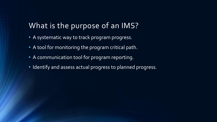#### What is the purpose of an IMS?

- A systematic way to track program progress.
- A tool for monitoring the program critical path.
- A communication tool for program reporting.
- Identify and assess actual progress to planned progress.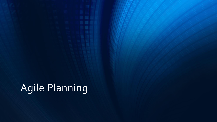# Agile Planning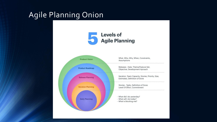## Agile Planning Onion



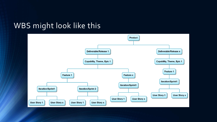#### WBS might look like this

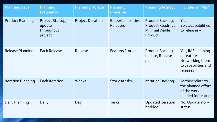| <b>Planning Level</b>     | <b>Planning</b><br><b>Frequency</b>                 | <b>Planning Horizon</b> | <b>Planning</b><br><b>Precision</b>          | <b>Planning Artifact</b>                                          | <b>Included in IMS?</b>                                                                 |
|---------------------------|-----------------------------------------------------|-------------------------|----------------------------------------------|-------------------------------------------------------------------|-----------------------------------------------------------------------------------------|
| <b>Product Planning</b>   | Project Startup,<br>update<br>throughout<br>project | <b>Project Duration</b> | <b>Epics/Capabilities</b><br><b>Releases</b> | Product Backlog,<br>Product Roadmap,<br>Minimal Viable<br>Product | Yes<br><b>Epics/Capabilities</b><br>to releases $-$                                     |
| <b>Release Planning</b>   | <b>Each Release</b>                                 | Release                 | <b>Feature/Stories</b>                       | <b>Product Backlog</b><br>update, Release<br>plan                 | Yes, IMS planning<br>of features.<br>Networking them<br>to capabilities and<br>releases |
| <b>Iteration Planning</b> | <b>Each Iteration</b>                               | <b>Weeks</b>            | Stories/tasks                                | <b>Iteration Backlog</b>                                          | As they relate to<br>the planned effort<br>of the work<br>needed for feature            |
| Daily Planning            | Daily                                               | Day                     | <b>Tasks</b>                                 | Updated iteration<br>backlog                                      | No, Update story<br>status.                                                             |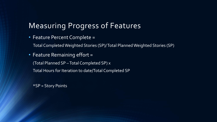# Measuring Progress of Features

• Feature Percent Complete =

Total Completed Weighted Stories (SP)/ Total Planned Weighted Stories (SP)

• Feature Remaining effort =

(Total Planned SP –Total Completed SP) x

Total Hours for Iteration to date/Total Completed SP

\*SP = Story Points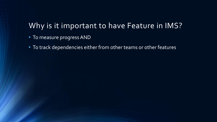#### Why is it important to have Feature in IMS?

- To measure progress AND
- To track dependencies either from other teams or other features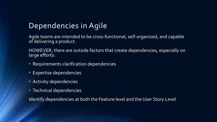# Dependencies in Agile

Agile teams are intended to be cross-functional, self-organized, and capable of delivering a product.

HOWEVER, there are outside factors that create dependencies, especially on large efforts:

- Requirements clarification dependencies
- Expertise dependencies
- Activity dependencies
- Technical dependencies

Identify dependencies at both the Feature level and the User Story Level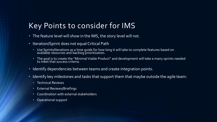### Key Points to consider for IMS

- The feature level will show in the IMS, the story level will not.
- Iteration/Sprint does not equal Critical Path
	- Use Sprints/Iterations as a time guide for how long it will take to complete features based on available resources and backlog prioritization.
	- The goal is to create the "Minimal Viable Product" and development will take a many sprints needed to meet that success criteria.
- Identify dependencies between teams and create integration points.
- Identify key milestones and tasks that support them that maybe outside the agile team:
	- Technical Reviews
	- External Reviews/Briefings
	- Coordination with external stakeholders
	- Operational support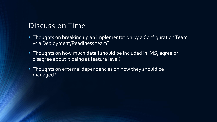#### Discussion Time

- Thoughts on breaking up an implementation by a Configuration Team vs a Deployment/Readiness team?
- Thoughts on how much detail should be included in IMS, agree or disagree about it being at feature level?
- Thoughts on external dependencies on how they should be managed?